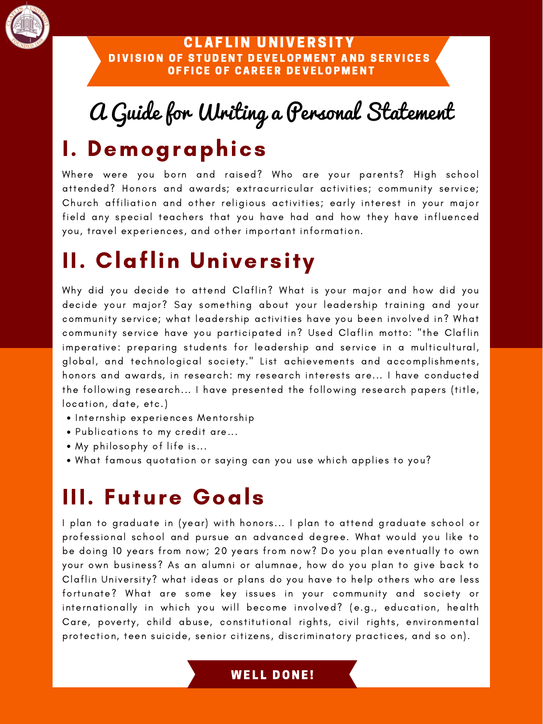

### CLAFLIN UNIVERSITY DIVISION OF STUDENT DEVELOPMENT AND SERVICES OFFICE OF CAREER DEVELOPMENT

- . Internship experiences Mentorship
- Publications to my credit are...
- My philosophy of life is...
- What famous quotation or saying can you use which applies to you?

Why did you decide to attend Claflin? What is your major and how did you decide your major? Say something about your leadership training and your community service; what leadership activities have you been involved in? What community service have you participated in? Used Claflin motto: "the Claflin imperative: preparing students for leadership and service in a multicultural, global, and technological society." List achievements and accomplishments, honors and awards, in research: my research interests are... I have conducted the following research... I have presented the following research papers (title, location, date, etc.)

I plan to graduate in (year) with honors... I plan to attend graduate school or professional school and pursue an advanced degree. What would you like to be doing 10 years from now; 20 years from now? Do you plan eventually to own your own business? As an alumni or alumnae, how do you plan to give back to Claflin University? what ideas or plans do you have to help others who are less fortunate? What are some key issues in your community and society or internationally in which you will become involved? (e.g., education, health Care, poverty, child abuse, constitutional rights, civil rights, environmental protection, teen suicide, senior citizens, discriminatory practices, and so on).

## **WELL DONE!**

# A Guide for Writing a Personal Statement I. Demographics

Where were you born and raised? Who are your parents? High school attended? Honors and awards; extracurricular activities; community service; Church affiliation and other religious activities; early interest in your major field any special teachers that you have had and how they have influenced you, travel experiences, and other important information.

# II. Claflin University

# III. Future Goals